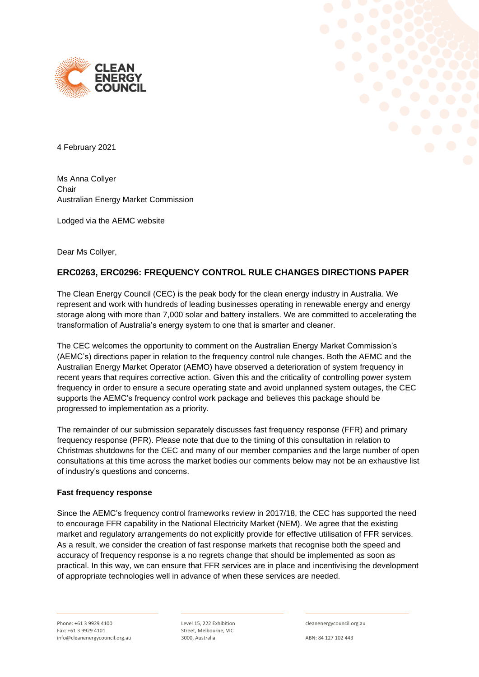



4 February 2021

Ms Anna Collyer Chair Australian Energy Market Commission

Lodged via the AEMC website

Dear Ms Collyer,

## **ERC0263, ERC0296: FREQUENCY CONTROL RULE CHANGES DIRECTIONS PAPER**

The Clean Energy Council (CEC) is the peak body for the clean energy industry in Australia. We represent and work with hundreds of leading businesses operating in renewable energy and energy storage along with more than 7,000 solar and battery installers. We are committed to accelerating the transformation of Australia's energy system to one that is smarter and cleaner.

The CEC welcomes the opportunity to comment on the Australian Energy Market Commission's (AEMC's) directions paper in relation to the frequency control rule changes. Both the AEMC and the Australian Energy Market Operator (AEMO) have observed a deterioration of system frequency in recent years that requires corrective action. Given this and the criticality of controlling power system frequency in order to ensure a secure operating state and avoid unplanned system outages, the CEC supports the AEMC's frequency control work package and believes this package should be progressed to implementation as a priority.

The remainder of our submission separately discusses fast frequency response (FFR) and primary frequency response (PFR). Please note that due to the timing of this consultation in relation to Christmas shutdowns for the CEC and many of our member companies and the large number of open consultations at this time across the market bodies our comments below may not be an exhaustive list of industry's questions and concerns.

## **Fast frequency response**

Since the AEMC's frequency control frameworks review in 2017/18, the CEC has supported the need to encourage FFR capability in the National Electricity Market (NEM). We agree that the existing market and regulatory arrangements do not explicitly provide for effective utilisation of FFR services. As a result, we consider the creation of fast response markets that recognise both the speed and accuracy of frequency response is a no regrets change that should be implemented as soon as practical. In this way, we can ensure that FFR services are in place and incentivising the development of appropriate technologies well in advance of when these services are needed.

Level 15, 222 Exhibition Street, Melbourne, VIC 3000, Australia

cleanenergycouncil.org.au

ABN: 84 127 102 443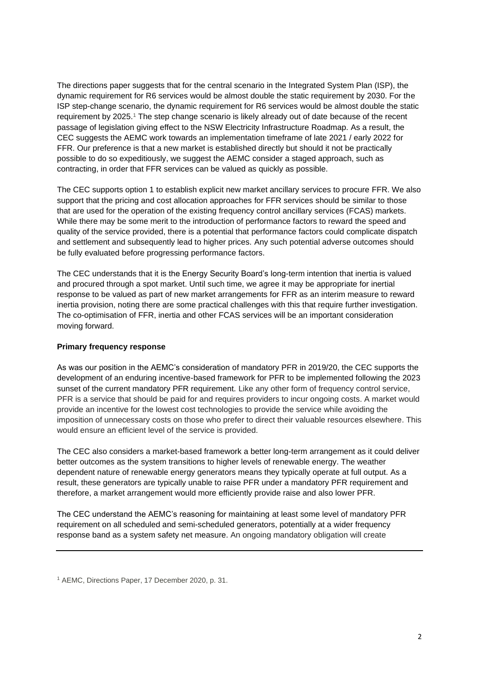The directions paper suggests that for the central scenario in the Integrated System Plan (ISP), the dynamic requirement for R6 services would be almost double the static requirement by 2030. For the ISP step-change scenario, the dynamic requirement for R6 services would be almost double the static requirement by 2025.<sup>1</sup> The step change scenario is likely already out of date because of the recent passage of legislation giving effect to the NSW Electricity Infrastructure Roadmap. As a result, the CEC suggests the AEMC work towards an implementation timeframe of late 2021 / early 2022 for FFR. Our preference is that a new market is established directly but should it not be practically possible to do so expeditiously, we suggest the AEMC consider a staged approach, such as contracting, in order that FFR services can be valued as quickly as possible.

The CEC supports option 1 to establish explicit new market ancillary services to procure FFR. We also support that the pricing and cost allocation approaches for FFR services should be similar to those that are used for the operation of the existing frequency control ancillary services (FCAS) markets. While there may be some merit to the introduction of performance factors to reward the speed and quality of the service provided, there is a potential that performance factors could complicate dispatch and settlement and subsequently lead to higher prices. Any such potential adverse outcomes should be fully evaluated before progressing performance factors.

The CEC understands that it is the Energy Security Board's long-term intention that inertia is valued and procured through a spot market. Until such time, we agree it may be appropriate for inertial response to be valued as part of new market arrangements for FFR as an interim measure to reward inertia provision, noting there are some practical challenges with this that require further investigation. The co-optimisation of FFR, inertia and other FCAS services will be an important consideration moving forward.

## **Primary frequency response**

As was our position in the AEMC's consideration of mandatory PFR in 2019/20, the CEC supports the development of an enduring incentive-based framework for PFR to be implemented following the 2023 sunset of the current mandatory PFR requirement. Like any other form of frequency control service, PFR is a service that should be paid for and requires providers to incur ongoing costs. A market would provide an incentive for the lowest cost technologies to provide the service while avoiding the imposition of unnecessary costs on those who prefer to direct their valuable resources elsewhere. This would ensure an efficient level of the service is provided.

The CEC also considers a market-based framework a better long-term arrangement as it could deliver better outcomes as the system transitions to higher levels of renewable energy. The weather dependent nature of renewable energy generators means they typically operate at full output. As a result, these generators are typically unable to raise PFR under a mandatory PFR requirement and therefore, a market arrangement would more efficiently provide raise and also lower PFR.

The CEC understand the AEMC's reasoning for maintaining at least some level of mandatory PFR requirement on all scheduled and semi-scheduled generators, potentially at a wider frequency response band as a system safety net measure. An ongoing mandatory obligation will create

<sup>1</sup> AEMC, Directions Paper, 17 December 2020, p. 31.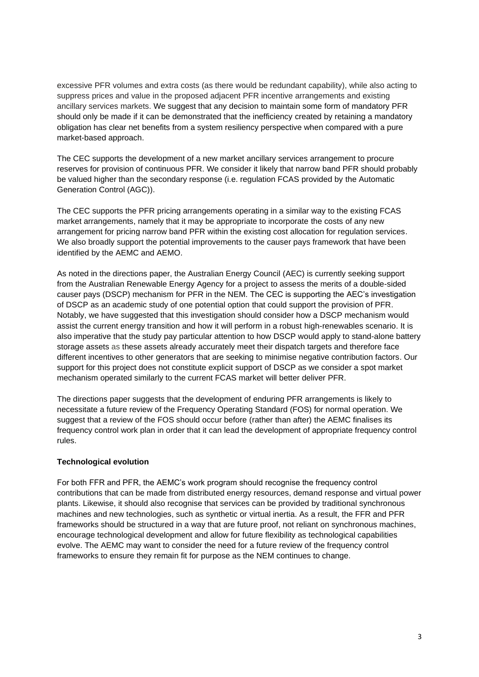excessive PFR volumes and extra costs (as there would be redundant capability), while also acting to suppress prices and value in the proposed adjacent PFR incentive arrangements and existing ancillary services markets. We suggest that any decision to maintain some form of mandatory PFR should only be made if it can be demonstrated that the inefficiency created by retaining a mandatory obligation has clear net benefits from a system resiliency perspective when compared with a pure market-based approach.

The CEC supports the development of a new market ancillary services arrangement to procure reserves for provision of continuous PFR. We consider it likely that narrow band PFR should probably be valued higher than the secondary response (i.e. regulation FCAS provided by the Automatic Generation Control (AGC)).

The CEC supports the PFR pricing arrangements operating in a similar way to the existing FCAS market arrangements, namely that it may be appropriate to incorporate the costs of any new arrangement for pricing narrow band PFR within the existing cost allocation for regulation services. We also broadly support the potential improvements to the causer pays framework that have been identified by the AEMC and AEMO.

As noted in the directions paper, the Australian Energy Council (AEC) is currently seeking support from the Australian Renewable Energy Agency for a project to assess the merits of a double-sided causer pays (DSCP) mechanism for PFR in the NEM. The CEC is supporting the AEC's investigation of DSCP as an academic study of one potential option that could support the provision of PFR. Notably, we have suggested that this investigation should consider how a DSCP mechanism would assist the current energy transition and how it will perform in a robust high-renewables scenario. It is also imperative that the study pay particular attention to how DSCP would apply to stand-alone battery storage assets as these assets already accurately meet their dispatch targets and therefore face different incentives to other generators that are seeking to minimise negative contribution factors. Our support for this project does not constitute explicit support of DSCP as we consider a spot market mechanism operated similarly to the current FCAS market will better deliver PFR.

The directions paper suggests that the development of enduring PFR arrangements is likely to necessitate a future review of the Frequency Operating Standard (FOS) for normal operation. We suggest that a review of the FOS should occur before (rather than after) the AEMC finalises its frequency control work plan in order that it can lead the development of appropriate frequency control rules.

## **Technological evolution**

For both FFR and PFR, the AEMC's work program should recognise the frequency control contributions that can be made from distributed energy resources, demand response and virtual power plants. Likewise, it should also recognise that services can be provided by traditional synchronous machines and new technologies, such as synthetic or virtual inertia. As a result, the FFR and PFR frameworks should be structured in a way that are future proof, not reliant on synchronous machines, encourage technological development and allow for future flexibility as technological capabilities evolve. The AEMC may want to consider the need for a future review of the frequency control frameworks to ensure they remain fit for purpose as the NEM continues to change.